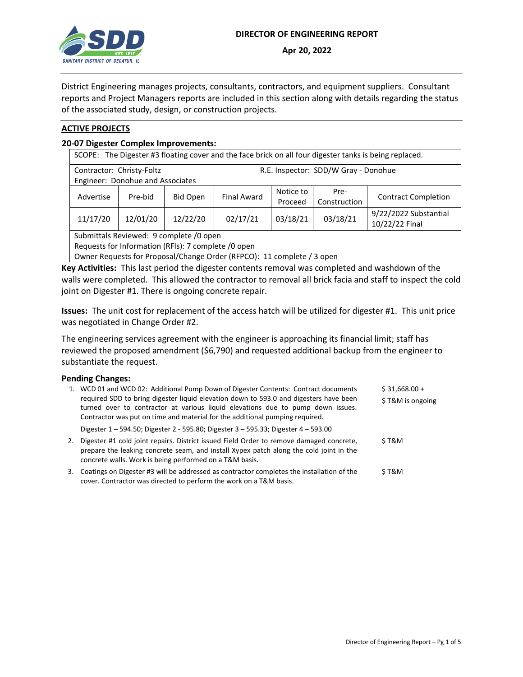

District Engineering manages projects, consultants, contractors, and equipment suppliers. Consultant reports and Project Managers reports are included in this section along with details regarding the status of the associated study, design, or construction projects.

### **ACTIVE PROJECTS**

#### **20-07 Digester Complex Improvements:**

| SCOPE: The Digester #3 floating cover and the face brick on all four digester tanks is being replaced. |                                  |                 |                                      |                      |                      |                                         |  |
|--------------------------------------------------------------------------------------------------------|----------------------------------|-----------------|--------------------------------------|----------------------|----------------------|-----------------------------------------|--|
| Contractor: Christy-Foltz                                                                              | Engineer: Donohue and Associates |                 | R.E. Inspector: SDD/W Gray - Donohue |                      |                      |                                         |  |
| Advertise                                                                                              | Pre-bid                          | <b>Bid Open</b> | <b>Final Award</b>                   | Notice to<br>Proceed | Pre-<br>Construction | <b>Contract Completion</b>              |  |
| 11/17/20                                                                                               | 12/01/20                         | 12/22/20        | 02/17/21                             | 03/18/21             | 03/18/21             | 9/22/2022 Substantial<br>10/22/22 Final |  |
| Submittals Reviewed: 9 complete /0 open                                                                |                                  |                 |                                      |                      |                      |                                         |  |

Requests for Information (RFIs): 7 complete /0 open

Owner Requests for Proposal/Change Order (RFPCO): 11 complete / 3 open

**Key Activities:** This last period the digester contents removal was completed and washdown of the walls were completed. This allowed the contractor to removal all brick facia and staff to inspect the cold joint on Digester #1. There is ongoing concrete repair.

**Issues:** The unit cost for replacement of the access hatch will be utilized for digester #1. This unit price was negotiated in Change Order #2.

The engineering services agreement with the engineer is approaching its financial limit; staff has reviewed the proposed amendment (\$6,790) and requested additional backup from the engineer to substantiate the request.

#### **Pending Changes:**

|    | 1. WCD 01 and WCD 02: Additional Pump Down of Digester Contents: Contract documents<br>required SDD to bring digester liquid elevation down to 593.0 and digesters have been<br>turned over to contractor at various liquid elevations due to pump down issues.<br>Contractor was put on time and material for the additional pumping required. | $$31,668.00 +$<br>\$T&M is ongoing |
|----|-------------------------------------------------------------------------------------------------------------------------------------------------------------------------------------------------------------------------------------------------------------------------------------------------------------------------------------------------|------------------------------------|
|    | Digester 1 – 594.50; Digester 2 - 595.80; Digester 3 – 595.33; Digester 4 – 593.00                                                                                                                                                                                                                                                              |                                    |
| 2. | Digester #1 cold joint repairs. District issued Field Order to remove damaged concrete,<br>prepare the leaking concrete seam, and install Xypex patch along the cold joint in the<br>concrete walls. Work is being performed on a T&M basis.                                                                                                    | S T&M                              |
| 3. | Coatings on Digester #3 will be addressed as contractor completes the installation of the<br>cover. Contractor was directed to perform the work on a T&M basis.                                                                                                                                                                                 | S T&M                              |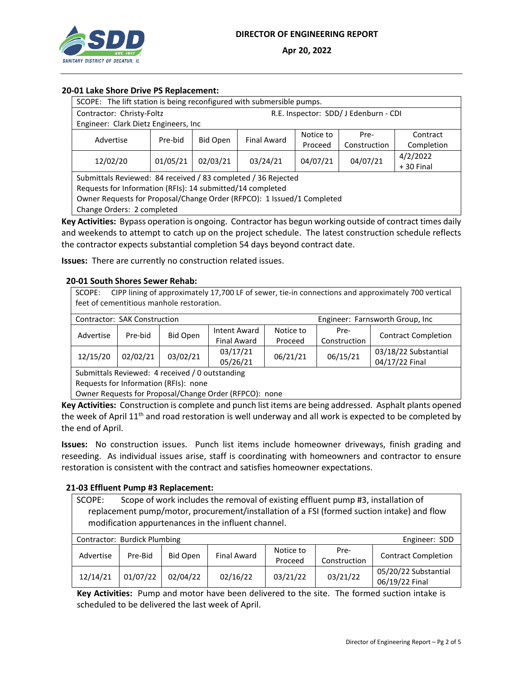

# **20-01 Lake Shore Drive PS Replacement:**

| SCOPE: The lift station is being reconfigured with submersible pumps.  |                                                         |                                       |          |          |              |             |  |  |  |
|------------------------------------------------------------------------|---------------------------------------------------------|---------------------------------------|----------|----------|--------------|-------------|--|--|--|
| Contractor: Christy-Foltz                                              |                                                         | R.E. Inspector: SDD/ J Edenburn - CDI |          |          |              |             |  |  |  |
| Engineer: Clark Dietz Engineers, Inc                                   |                                                         |                                       |          |          |              |             |  |  |  |
| Advertise                                                              | Notice to<br>Contract<br>Pre-<br>Final Award<br>Pre-bid |                                       |          |          |              |             |  |  |  |
|                                                                        |                                                         | Bid Open                              |          | Proceed  | Construction | Completion  |  |  |  |
| 12/02/20                                                               | 01/05/21                                                | 02/03/21                              | 03/24/21 | 04/07/21 | 04/07/21     | 4/2/2022    |  |  |  |
|                                                                        |                                                         |                                       |          |          |              | $+30$ Final |  |  |  |
| Submittals Reviewed: 84 received / 83 completed / 36 Rejected          |                                                         |                                       |          |          |              |             |  |  |  |
| Requests for Information (RFIs): 14 submitted/14 completed             |                                                         |                                       |          |          |              |             |  |  |  |
| Owner Requests for Proposal/Change Order (RFPCO): 1 Issued/1 Completed |                                                         |                                       |          |          |              |             |  |  |  |
| Change Orders: 2 completed                                             |                                                         |                                       |          |          |              |             |  |  |  |

**Key Activities:** Bypass operation is ongoing. Contractor has begun working outside of contract times daily and weekends to attempt to catch up on the project schedule. The latest construction schedule reflects the contractor expects substantial completion 54 days beyond contract date.

**Issues:** There are currently no construction related issues.

#### **20-01 South Shores Sewer Rehab:**

SCOPE: CIPP lining of approximately 17,700 LF of sewer, tie-in connections and approximately 700 vertical feet of cementitious manhole restoration.

| Contractor: SAK Construction | Engineer: Farnsworth Group, Inc. |                 |                      |           |              |                                        |  |
|------------------------------|----------------------------------|-----------------|----------------------|-----------|--------------|----------------------------------------|--|
| Advertise                    | Pre-bid                          | <b>Bid Open</b> | <b>Intent Award</b>  | Notice to | Pre-         | <b>Contract Completion</b>             |  |
|                              |                                  |                 | Final Award          | Proceed   | Construction |                                        |  |
| 12/15/20                     | 02/02/21                         | 03/02/21        | 03/17/21<br>05/26/21 | 06/21/21  | 06/15/21     | 03/18/22 Substantial<br>04/17/22 Final |  |

Submittals Reviewed: 4 received / 0 outstanding

Requests for Information (RFIs): none

Owner Requests for Proposal/Change Order (RFPCO): none

**Key Activities:** Construction is complete and punch list items are being addressed. Asphalt plants opened the week of April 11<sup>th</sup> and road restoration is well underway and all work is expected to be completed by the end of April.

**Issues:** No construction issues. Punch list items include homeowner driveways, finish grading and reseeding. As individual issues arise, staff is coordinating with homeowners and contractor to ensure restoration is consistent with the contract and satisfies homeowner expectations.

#### **21-03 Effluent Pump #3 Replacement:**

SCOPE: Scope of work includes the removal of existing effluent pump #3, installation of replacement pump/motor, procurement/installation of a FSI (formed suction intake) and flow modification appurtenances in the influent channel.

| Contractor: Burdick Plumbing<br>Engineer: SDD |          |          |                    |                      |                      |                                        |  |  |
|-----------------------------------------------|----------|----------|--------------------|----------------------|----------------------|----------------------------------------|--|--|
| Advertise                                     | Pre-Bid  | Bid Open | <b>Final Award</b> | Notice to<br>Proceed | Pre-<br>Construction | <b>Contract Completion</b>             |  |  |
| 12/14/21                                      | 01/07/22 | 02/04/22 | 02/16/22           | 03/21/22             | 03/21/22             | 05/20/22 Substantial<br>06/19/22 Final |  |  |

**Key Activities:** Pump and motor have been delivered to the site. The formed suction intake is scheduled to be delivered the last week of April.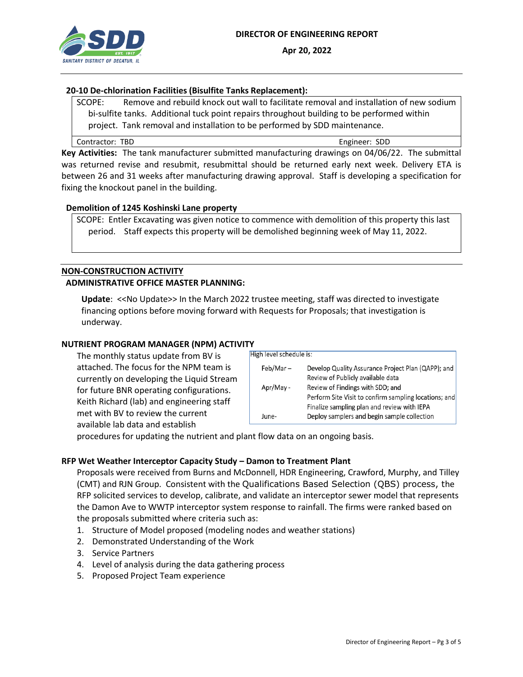

## **20-10 De-chlorination Facilities (Bisulfite Tanks Replacement):**

SCOPE: Remove and rebuild knock out wall to facilitate removal and installation of new sodium bi-sulfite tanks. Additional tuck point repairs throughout building to be performed within project. Tank removal and installation to be performed by SDD maintenance.

Contractor: TBD Engineer: SDD

**Key Activities:** The tank manufacturer submitted manufacturing drawings on 04/06/22. The submittal was returned revise and resubmit, resubmittal should be returned early next week. Delivery ETA is between 26 and 31 weeks after manufacturing drawing approval. Staff is developing a specification for fixing the knockout panel in the building.

### **Demolition of 1245 Koshinski Lane property**

SCOPE: Entler Excavating was given notice to commence with demolition of this property this last period. Staff expects this property will be demolished beginning week of May 11, 2022.

# **NON-CONSTRUCTION ACTIVITY ADMINISTRATIVE OFFICE MASTER PLANNING:**

**Update**: <<No Update>> In the March 2022 trustee meeting, staff was directed to investigate financing options before moving forward with Requests for Proposals; that investigation is underway.

# **NUTRIENT PROGRAM MANAGER (NPM) ACTIVITY**

The monthly status update from BV is attached. The focus for the NPM team is currently on developing the Liquid Stream for future BNR operating configurations. Keith Richard (lab) and engineering staff met with BV to review the current available lab data and establish

| High level schedule is: |                                                       |
|-------------------------|-------------------------------------------------------|
|                         |                                                       |
| Feb/Mar-                | Develop Quality Assurance Project Plan (QAPP); and    |
|                         | Review of Publicly available data                     |
| Apr/May -               | Review of Findings with SDD; and                      |
|                         | Perform Site Visit to confirm sampling locations; and |
|                         | Finalize sampling plan and review with IEPA           |
| June-                   | Deploy samplers and begin sample collection           |
|                         |                                                       |

procedures for updating the nutrient and plant flow data on an ongoing basis.

# **RFP Wet Weather Interceptor Capacity Study – Damon to Treatment Plant**

Proposals were received from Burns and McDonnell, HDR Engineering, Crawford, Murphy, and Tilley (CMT) and RJN Group. Consistent with the Qualifications Based Selection (QBS) process, the RFP solicited services to develop, calibrate, and validate an interceptor sewer model that represents the Damon Ave to WWTP interceptor system response to rainfall. The firms were ranked based on the proposals submitted where criteria such as:

- 1. Structure of Model proposed (modeling nodes and weather stations)
- 2. Demonstrated Understanding of the Work
- 3. Service Partners
- 4. Level of analysis during the data gathering process
- 5. Proposed Project Team experience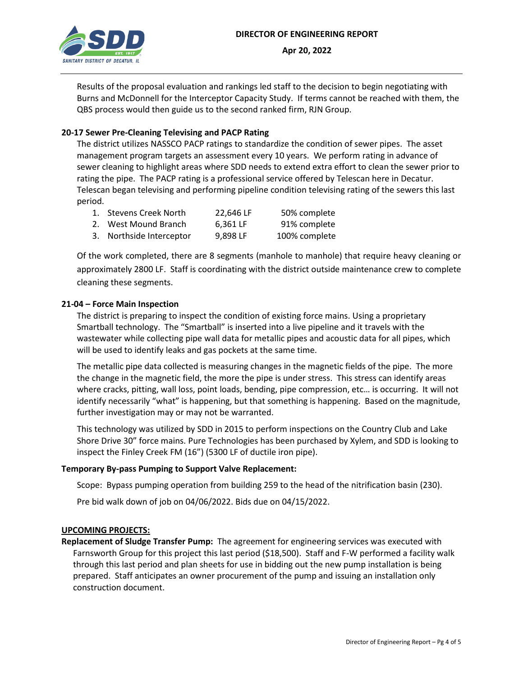

Results of the proposal evaluation and rankings led staff to the decision to begin negotiating with Burns and McDonnell for the Interceptor Capacity Study. If terms cannot be reached with them, the QBS process would then guide us to the second ranked firm, RJN Group.

# **20-17 Sewer Pre-Cleaning Televising and PACP Rating**

The district utilizes NASSCO PACP ratings to standardize the condition of sewer pipes. The asset management program targets an assessment every 10 years. We perform rating in advance of sewer cleaning to highlight areas where SDD needs to extend extra effort to clean the sewer prior to rating the pipe. The PACP rating is a professional service offered by Telescan here in Decatur. Telescan began televising and performing pipeline condition televising rating of the sewers this last period.

| 50% complete<br>1. Stevens Creek North<br>22,646 LF |
|-----------------------------------------------------|
|-----------------------------------------------------|

- 2. West Mound Branch 6,361 LF 91% complete
- 3. Northside Interceptor 9,898 LF 100% complete

Of the work completed, there are 8 segments (manhole to manhole) that require heavy cleaning or approximately 2800 LF. Staff is coordinating with the district outside maintenance crew to complete cleaning these segments.

# **21-04 – Force Main Inspection**

The district is preparing to inspect the condition of existing force mains. Using a proprietary Smartball technology. The "Smartball" is inserted into a live pipeline and it travels with the wastewater while collecting pipe wall data for metallic pipes and acoustic data for all pipes, which will be used to identify leaks and gas pockets at the same time.

The metallic pipe data collected is measuring changes in the magnetic fields of the pipe. The more the change in the magnetic field, the more the pipe is under stress. This stress can identify areas where cracks, pitting, wall loss, point loads, bending, pipe compression, etc… is occurring. It will not identify necessarily "what" is happening, but that something is happening. Based on the magnitude, further investigation may or may not be warranted.

This technology was utilized by SDD in 2015 to perform inspections on the Country Club and Lake Shore Drive 30" force mains. Pure Technologies has been purchased by Xylem, and SDD is looking to inspect the Finley Creek FM (16") (5300 LF of ductile iron pipe).

# **Temporary By-pass Pumping to Support Valve Replacement:**

Scope: Bypass pumping operation from building 259 to the head of the nitrification basin (230).

Pre bid walk down of job on 04/06/2022. Bids due on 04/15/2022.

# **UPCOMING PROJECTS:**

**Replacement of Sludge Transfer Pump:** The agreement for engineering services was executed with Farnsworth Group for this project this last period (\$18,500). Staff and F-W performed a facility walk through this last period and plan sheets for use in bidding out the new pump installation is being prepared. Staff anticipates an owner procurement of the pump and issuing an installation only construction document.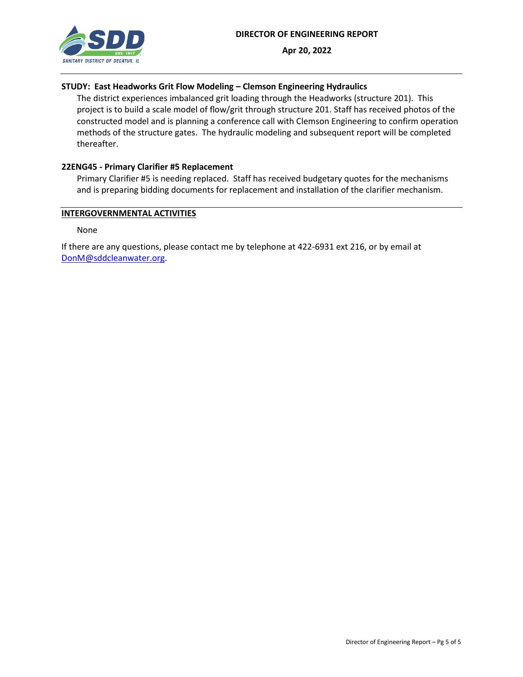

# **STUDY: East Headworks Grit Flow Modeling – Clemson Engineering Hydraulics**

The district experiences imbalanced grit loading through the Headworks (structure 201). This project is to build a scale model of flow/grit through structure 201. Staff has received photos of the constructed model and is planning a conference call with Clemson Engineering to confirm operation methods of the structure gates. The hydraulic modeling and subsequent report will be completed thereafter.

### **22ENG45 - Primary Clarifier #5 Replacement**

Primary Clarifier #5 is needing replaced. Staff has received budgetary quotes for the mechanisms and is preparing bidding documents for replacement and installation of the clarifier mechanism.

#### **INTERGOVERNMENTAL ACTIVITIES**

None

If there are any questions, please contact me by telephone at 422-6931 ext 216, or by email at [DonM@sddcleanwater.org.](mailto:DonM@sddcleanwater.org)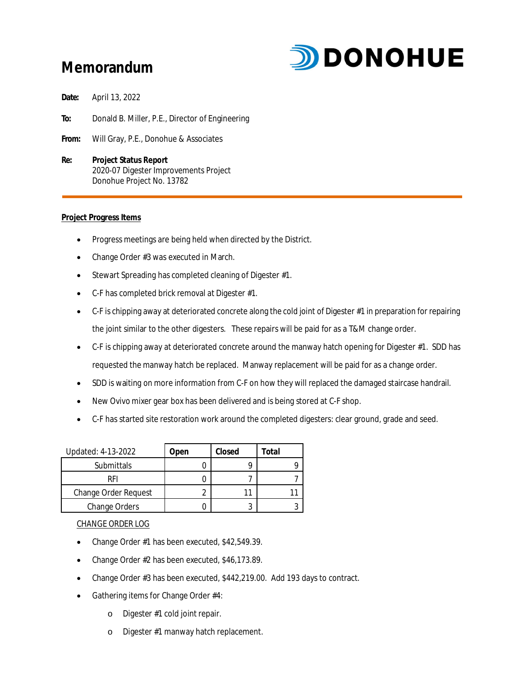# **Memorandum**



**Date:** April 13, 2022

**To:** Donald B. Miller, P.E., Director of Engineering

- **From:** Will Gray, P.E., Donohue & Associates
- **Re: Project Status Report** 2020-07 Digester Improvements Project Donohue Project No. 13782

#### **Project Progress Items**

- Progress meetings are being held when directed by the District.
- Change Order #3 was executed in March.
- · Stewart Spreading has completed cleaning of Digester #1.
- · C-F has completed brick removal at Digester #1.
- · C-F is chipping away at deteriorated concrete along the cold joint of Digester #1 in preparation for repairing the joint similar to the other digesters. These repairs will be paid for as a T&M change order.
- · C-F is chipping away at deteriorated concrete around the manway hatch opening for Digester #1. SDD has requested the manway hatch be replaced. Manway replacement will be paid for as a change order.
- · SDD is waiting on more information from C-F on how they will replaced the damaged staircase handrail.
- New Ovivo mixer gear box has been delivered and is being stored at C-F shop.
- · C-F has started site restoration work around the completed digesters: clear ground, grade and seed.

| Updated: 4-13-2022   | Jpen | Closed | Total |
|----------------------|------|--------|-------|
| <b>Submittals</b>    |      |        |       |
| RFI                  |      |        |       |
| Change Order Request |      |        |       |
| Change Orders        |      |        |       |

#### CHANGE ORDER LOG

- Change Order #1 has been executed, \$42,549.39.
- · Change Order #2 has been executed, \$46,173.89.
- Change Order #3 has been executed, \$442,219.00. Add 193 days to contract.
- Gathering items for Change Order #4:
	- o Digester #1 cold joint repair.
	- o Digester #1 manway hatch replacement.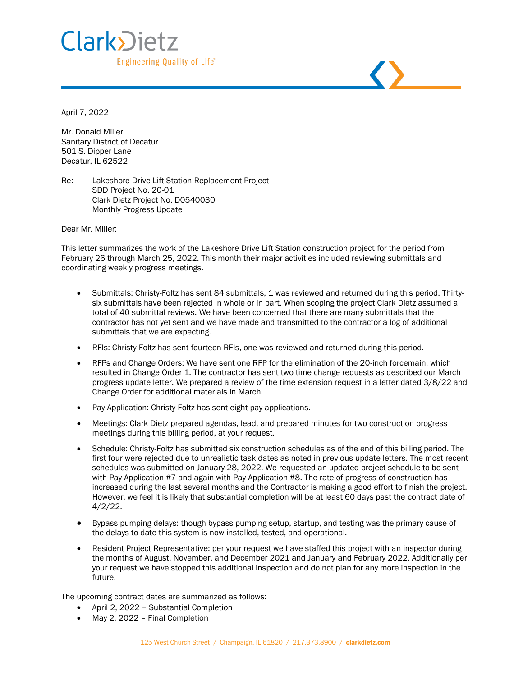

April 7, 2022

Mr. Donald Miller Sanitary District of Decatur 501 S. Dipper Lane Decatur, IL 62522

Re: Lakeshore Drive Lift Station Replacement Project SDD Project No. 20-01 Clark Dietz Project No. D0540030 Monthly Progress Update

Dear Mr. Miller:

This letter summarizes the work of the Lakeshore Drive Lift Station construction project for the period from February 26 through March 25, 2022. This month their major activities included reviewing submittals and coordinating weekly progress meetings.

- Submittals: Christy-Foltz has sent 84 submittals, 1 was reviewed and returned during this period. Thirtysix submittals have been rejected in whole or in part. When scoping the project Clark Dietz assumed a total of 40 submittal reviews. We have been concerned that there are many submittals that the contractor has not yet sent and we have made and transmitted to the contractor a log of additional submittals that we are expecting.
- RFIs: Christy-Foltz has sent fourteen RFIs, one was reviewed and returned during this period.
- RFPs and Change Orders: We have sent one RFP for the elimination of the 20-inch forcemain, which resulted in Change Order 1. The contractor has sent two time change requests as described our March progress update letter. We prepared a review of the time extension request in a letter dated 3/8/22 and Change Order for additional materials in March.
- Pay Application: Christy-Foltz has sent eight pay applications.
- Meetings: Clark Dietz prepared agendas, lead, and prepared minutes for two construction progress meetings during this billing period, at your request.
- Schedule: Christy-Foltz has submitted six construction schedules as of the end of this billing period. The first four were rejected due to unrealistic task dates as noted in previous update letters. The most recent schedules was submitted on January 28, 2022. We requested an updated project schedule to be sent with Pay Application #7 and again with Pay Application #8. The rate of progress of construction has increased during the last several months and the Contractor is making a good effort to finish the project. However, we feel it is likely that substantial completion will be at least 60 days past the contract date of 4/2/22.
- Bypass pumping delays: though bypass pumping setup, startup, and testing was the primary cause of the delays to date this system is now installed, tested, and operational.
- Resident Project Representative: per your request we have staffed this project with an inspector during the months of August, November, and December 2021 and January and February 2022. Additionally per your request we have stopped this additional inspection and do not plan for any more inspection in the future.

The upcoming contract dates are summarized as follows:

- April 2, 2022 Substantial Completion
- May 2, 2022 Final Completion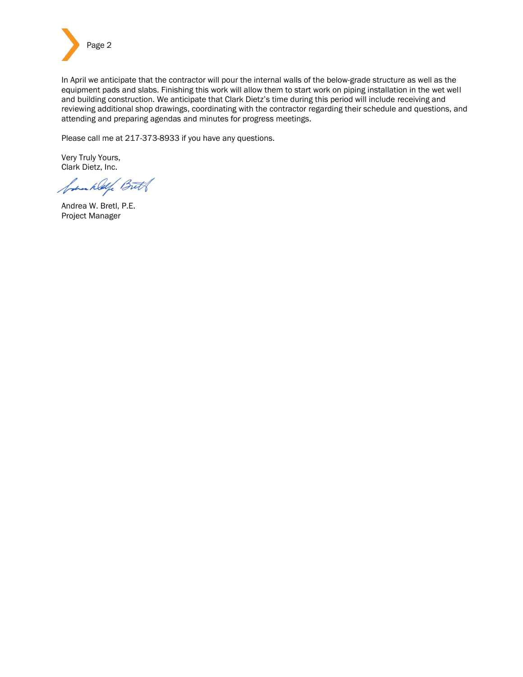

In April we anticipate that the contractor will pour the internal walls of the below-grade structure as well as the equipment pads and slabs. Finishing this work will allow them to start work on piping installation in the wet well and building construction. We anticipate that Clark Dietz's time during this period will include receiving and reviewing additional shop drawings, coordinating with the contractor regarding their schedule and questions, and attending and preparing agendas and minutes for progress meetings.

Please call me at 217-373-8933 if you have any questions.

Very Truly Yours, Clark Dietz, Inc.

frankley Butt

Andrea W. Bretl, P.E. Project Manager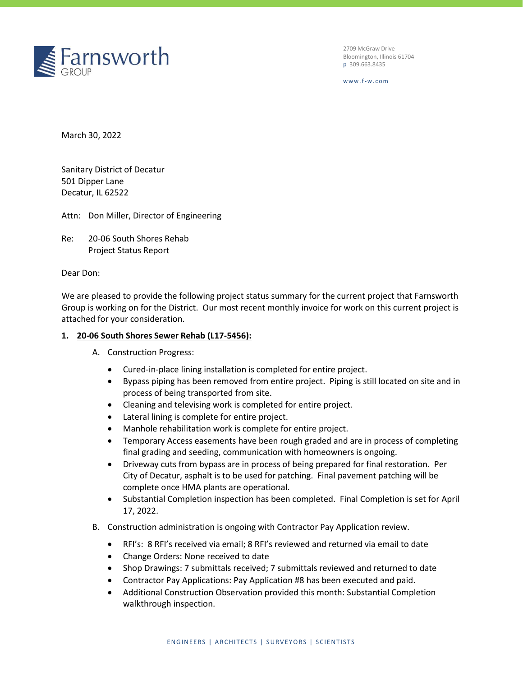

2709 McGraw Drive Bloomington, Illinois 61704 p 309.663.8435

w w w . f-w . c o m

March 30, 2022

Sanitary District of Decatur 501 Dipper Lane Decatur, IL 62522

Attn: Don Miller, Director of Engineering

Re: 20-06 South Shores Rehab Project Status Report

Dear Don:

We are pleased to provide the following project status summary for the current project that Farnsworth Group is working on for the District. Our most recent monthly invoice for work on this current project is attached for your consideration.

#### **1. 20-06 South Shores Sewer Rehab (L17-5456):**

- A. Construction Progress:
	- Cured-in-place lining installation is completed for entire project.
	- Bypass piping has been removed from entire project. Piping is still located on site and in process of being transported from site.
	- Cleaning and televising work is completed for entire project.
	- Lateral lining is complete for entire project.
	- Manhole rehabilitation work is complete for entire project.
	- Temporary Access easements have been rough graded and are in process of completing final grading and seeding, communication with homeowners is ongoing.
	- Driveway cuts from bypass are in process of being prepared for final restoration. Per City of Decatur, asphalt is to be used for patching. Final pavement patching will be complete once HMA plants are operational.
	- Substantial Completion inspection has been completed. Final Completion is set for April 17, 2022.
- B. Construction administration is ongoing with Contractor Pay Application review.
	- RFI's: 8 RFI's received via email; 8 RFI's reviewed and returned via email to date
	- Change Orders: None received to date
	- Shop Drawings: 7 submittals received; 7 submittals reviewed and returned to date
	- Contractor Pay Applications: Pay Application #8 has been executed and paid.
	- Additional Construction Observation provided this month: Substantial Completion walkthrough inspection.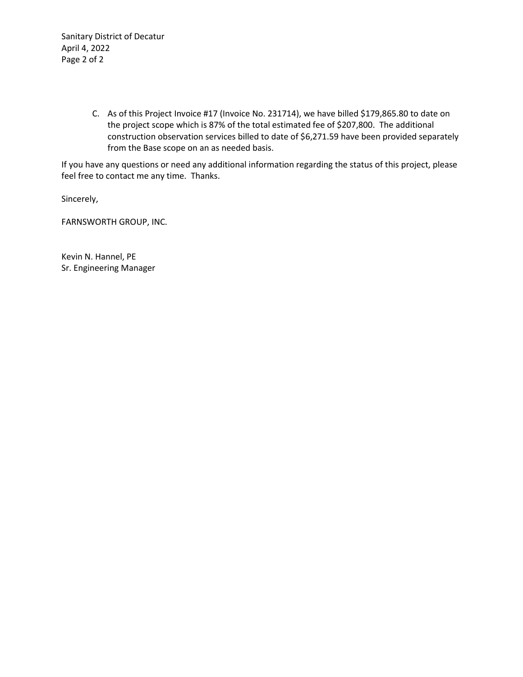Sanitary District of Decatur April 4, 2022 Page 2 of 2

> C. As of this Project Invoice #17 (Invoice No. 231714), we have billed \$179,865.80 to date on the project scope which is 87% of the total estimated fee of \$207,800. The additional construction observation services billed to date of \$6,271.59 have been provided separately from the Base scope on an as needed basis.

If you have any questions or need any additional information regarding the status of this project, please feel free to contact me any time. Thanks.

Sincerely,

FARNSWORTH GROUP, INC.

Kevin N. Hannel, PE Sr. Engineering Manager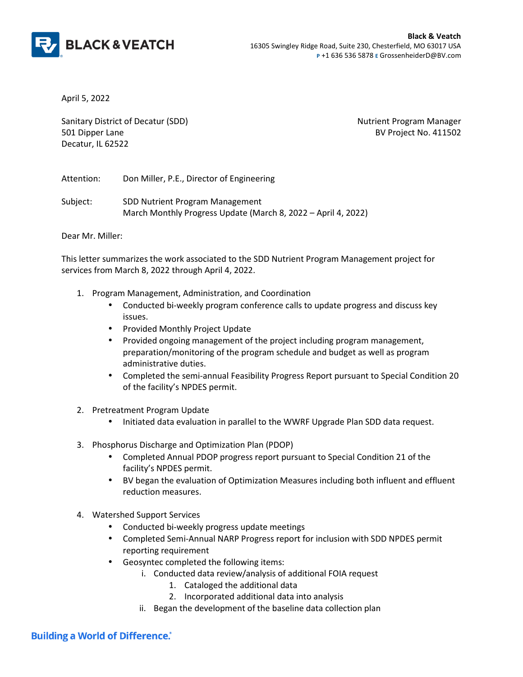

April 5, 2022

Sanitary District of Decatur (SDD) Nutrient Program Manager 501 Dipper Lane BV Project No. 411502 Decatur, IL 62522

Attention: Don Miller, P.E., Director of Engineering

Subject: SDD Nutrient Program Management March Monthly Progress Update (March 8, 2022 – April 4, 2022)

Dear Mr. Miller:

This letter summarizes the work associated to the SDD Nutrient Program Management project for services from March 8, 2022 through April 4, 2022.

- 1. Program Management, Administration, and Coordination
	- Conducted bi-weekly program conference calls to update progress and discuss key issues.
	- Provided Monthly Project Update
	- Provided ongoing management of the project including program management, preparation/monitoring of the program schedule and budget as well as program administrative duties.
	- Completed the semi-annual Feasibility Progress Report pursuant to Special Condition 20 of the facility's NPDES permit.
- 2. Pretreatment Program Update
	- Initiated data evaluation in parallel to the WWRF Upgrade Plan SDD data request.
- 3. Phosphorus Discharge and Optimization Plan (PDOP)
	- Completed Annual PDOP progress report pursuant to Special Condition 21 of the facility's NPDES permit.
	- BV began the evaluation of Optimization Measures including both influent and effluent reduction measures.
- 4. Watershed Support Services
	- Conducted bi-weekly progress update meetings
	- Completed Semi-Annual NARP Progress report for inclusion with SDD NPDES permit reporting requirement
	- Geosyntec completed the following items:
		- i. Conducted data review/analysis of additional FOIA request
			- 1. Cataloged the additional data
			- 2. Incorporated additional data into analysis
			- ii. Began the development of the baseline data collection plan